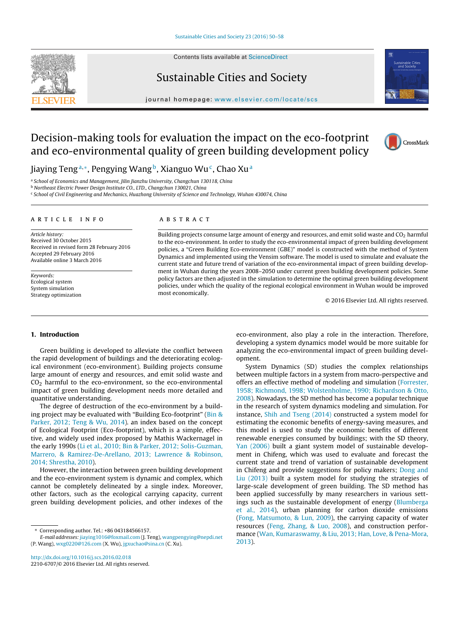Contents lists available at [ScienceDirect](http://www.sciencedirect.com/science/journal/22106707)



### Sustainable Cities and Society

journal homepage: [www.elsevier.com/locate/scs](http://www.elsevier.com/locate/scs)

## Decision-making tools for evaluation the impact on the eco-footprint and eco-environmental quality of green building development policy



Jiaying Teng<sup>a,∗</sup>, Pengying Wang<sup>b</sup>, Xianguo Wu<sup>c</sup>, Chao Xu<sup>a</sup>

a School of Economics and Management, Jilin Jianzhu University, Changchun 130118, China

<sup>b</sup> Northeast Electric Power Design Institute CO., LTD., Changchun 130021, China

<sup>c</sup> School of Civil Engineering and Mechanics, Huazhong University of Science and Technology, Wuhan 430074, China

#### a r t i c l e i n f o

Article history: Received 30 October 2015 Received in revised form 28 February 2016 Accepted 29 February 2016 Available online 3 March 2016

Keywords: Ecological system System simulation Strategy optimization

#### A B S T R A C T

Building projects consume large amount of energy and resources, and emit solid waste and CO<sub>2</sub> harmful to the eco-environment. In order to study the eco-environmental impact of green building development policies, a "Green Building Eco-environment (GBE)" model is constructed with the method of System Dynamics and implemented using the Vensim software. The model is used to simulate and evaluate the current state and future trend of variation of the eco-environmental impact of green building development in Wuhan during the years 2008–2050 under current green building development policies. Some policy factors are then adjusted in the simulation to determine the optimal green building development policies, under which the quality of the regional ecological environment in Wuhan would be improved most economically.

© 2016 Elsevier Ltd. All rights reserved.

#### **1. Introduction**

Green building is developed to alleviate the conflict between the rapid development of buildings and the deteriorating ecological environment (eco-environment). Building projects consume large amount of energy and resources, and emit solid waste and  $CO<sub>2</sub>$  harmful to the eco-environment, so the eco-environmental impact of green building development needs more detailed and quantitative understanding.

The degree of destruction of the eco-environment by a building project may be evaluated with "Building Eco-footprint" ([Bin](#page--1-0) [&](#page--1-0) [Parker,](#page--1-0) [2012;](#page--1-0) [Teng](#page--1-0) [&](#page--1-0) [Wu,](#page--1-0) [2014\).](#page--1-0) an index based on the concept of Ecological Footprint (Eco-footprint), which is a simple, effective, and widely used index proposed by Mathis Wackernagel in the early 1990s [\(Li](#page--1-0) et [al.,](#page--1-0) [2010;](#page--1-0) [Bin](#page--1-0) [&](#page--1-0) [Parker,](#page--1-0) [2012;](#page--1-0) [Solis-Guzman,](#page--1-0) [Marrero,](#page--1-0) [&](#page--1-0) [Ramirez-De-Arellano,](#page--1-0) [2013;](#page--1-0) [Lawrence](#page--1-0) [&](#page--1-0) [Robinson,](#page--1-0) [2014;](#page--1-0) [Shrestha,](#page--1-0) [2010\).](#page--1-0)

However, the interaction between green building development and the eco-environment system is dynamic and complex, which cannot be completely delineated by a single index. Moreover, other factors, such as the ecological carrying capacity, current green building development policies, and other indexes of the

eco-environment, also play a role in the interaction. Therefore, developing a system dynamics model would be more suitable for analyzing the eco-environmental impact of green building development.

System Dynamics (SD) studies the complex relationships between multiple factors in a system from macro-perspective and offers an effective method of modeling and simulation [\(Forrester,](#page--1-0) [1958;](#page--1-0) [Richmond,](#page--1-0) [1998;](#page--1-0) [Wolstenholme,](#page--1-0) [1990;](#page--1-0) [Richardson](#page--1-0) [&](#page--1-0) [Otto,](#page--1-0) [2008\).](#page--1-0) Nowadays, the SD method has become a popular technique in the research of system dynamics modeling and simulation. For instance, [Shih](#page--1-0) [and](#page--1-0) [Tseng](#page--1-0) [\(2014\)](#page--1-0) constructed a system model for estimating the economic benefits of energy-saving measures, and this model is used to study the economic benefits of different renewable energies consumed by buildings; with the SD theory, [Yan](#page--1-0) [\(2006\)](#page--1-0) built a giant system model of sustainable development in Chifeng, which was used to evaluate and forecast the current state and trend of variation of sustainable development in Chifeng and provide suggestions for policy makers; [Dong](#page--1-0) [and](#page--1-0) [Liu](#page--1-0) [\(2013\)](#page--1-0) built a system model for studying the strategies of large-scale development of green building. The SD method has been applied successfully by many researchers in various settings such as the sustainable development of energy [\(Blumberga](#page--1-0) et [al.,](#page--1-0) [2014\),](#page--1-0) urban planning for carbon dioxide emissions [\(Fong,](#page--1-0) [Matsumoto,](#page--1-0) [&](#page--1-0) [Lun,](#page--1-0) [2009\),](#page--1-0) the carrying capacity of water resources ([Feng,](#page--1-0) [Zhang,](#page--1-0) [&](#page--1-0) [Luo,](#page--1-0) [2008\),](#page--1-0) and construction performance ([Wan,](#page--1-0) [Kumaraswamy,](#page--1-0) [&](#page--1-0) [Liu,](#page--1-0) [2013;](#page--1-0) [Han,](#page--1-0) [Love,](#page--1-0) [&](#page--1-0) [Pena-Mora,](#page--1-0) [2013\).](#page--1-0)

<sup>∗</sup> Corresponding author. Tel.: +86 043184566157.

E-mail addresses: [jiaying1016@foxmail.com](mailto:jiaying1016@foxmail.com) (J. Teng), [wangpengying@nepdi.net](mailto:wangpengying@nepdi.net) (P. Wang), [wxg0220@126.com](mailto:wxg0220@126.com) (X. Wu), [jgxuchao@sina.cn](mailto:jgxuchao@sina.cn) (C. Xu).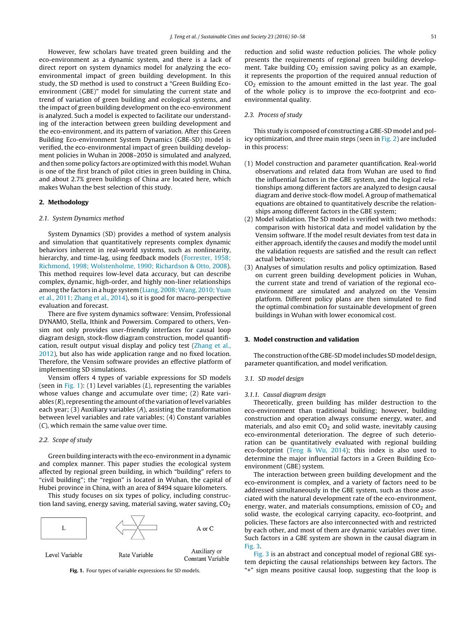However, few scholars have treated green building and the eco-environment as a dynamic system, and there is a lack of direct report on system dynamics model for analyzing the ecoenvironmental impact of green building development. In this study, the SD method is used to construct a "Green Building Ecoenvironment (GBE)" model for simulating the current state and trend of variation of green building and ecological systems, and the impact of green building development on the eco-environment is analyzed. Such a model is expected to facilitate our understanding of the interaction between green building development and the eco-environment, and its pattern of variation. After this Green Building Eco-environment System Dynamics (GBE-SD) model is verified, the eco-environmental impact of green building development policies in Wuhan in 2008–2050 is simulated and analyzed, and then some policy factors are optimized with this model. Wuhan is one of the first branch of pilot cities in green building in China, and about 2.7% green buildings of China are located here, which makes Wuhan the best selection of this study.

### **2. Methodology**

#### 2.1. System Dynamics method

System Dynamics (SD) provides a method of system analysis and simulation that quantitatively represents complex dynamic behaviors inherent in real-world systems, such as nonlinearity, hierarchy, and time-lag, using feedback models ([Forrester,](#page--1-0) [1958;](#page--1-0) [Richmond,](#page--1-0) [1998;](#page--1-0) [Wolstenholme,](#page--1-0) [1990;](#page--1-0) [Richardson](#page--1-0) [&](#page--1-0) [Otto,](#page--1-0) [2008\).](#page--1-0) This method requires low-level data accuracy, but can describe complex, dynamic, high-order, and highly non-liner relationships among the factors in a huge system [\(Liang,](#page--1-0) 2008; Wang, [2010;](#page--1-0) [Yuan](#page--1-0) et [al.,](#page--1-0) [2011;](#page--1-0) [Zhang](#page--1-0) et [al.,](#page--1-0) [2014\),](#page--1-0) so it is good for macro-perspective evaluation and forecast.

There are five system dynamics software: Vensim, Professional DYNAMO, Stella, Ithink and Powersim. Compared to others, Vensim not only provides user-friendly interfaces for causal loop diagram design, stock-flow diagram construction, model quantification, result output visual display and policy test [\(Zhang](#page--1-0) et [al.,](#page--1-0) [2012\),](#page--1-0) but also has wide application range and no fixed location. Therefore, the Vensim software provides an effective platform of implementing SD simulations.

Vensim offers 4 types of variable expressions for SD models (seen in Fig. 1): (1) Level variables  $(L)$ , representing the variables whose values change and accumulate over time; (2) Rate variables  $(R)$ , representing the amount of the variation of level variables each year; (3) Auxiliary variables (A), assisting the transformation between level variables and rate variables; (4) Constant variables (C), which remain the same value over time.

#### 2.2. Scope of study

Green building interacts with the eco-environmentin a dynamic and complex manner. This paper studies the ecological system affected by regional green building, in which "building" refers to "civil building"; the "region" is located in Wuhan, the capital of Hubei province in China, with an area of 8494 square kilometers.

This study focuses on six types of policy, including construction land saving, energy saving, material saving, water saving,  $CO<sub>2</sub>$ 



**Fig. 1.** Four types of variable expressions for SD models.

reduction and solid waste reduction policies. The whole policy presents the requirements of regional green building development. Take building  $CO<sub>2</sub>$  emission saving policy as an example, it represents the proportion of the required annual reduction of  $CO<sub>2</sub>$  emission to the amount emitted in the last year. The goal of the whole policy is to improve the eco-footprint and ecoenvironmental quality.

#### 2.3. Process of study

This study is composed of constructing a GBE-SD model and policy optimization, and three main steps (seen in [Fig.](#page--1-0) 2) are included in this process:

- (1) Model construction and parameter quantification. Real-world observations and related data from Wuhan are used to find the influential factors in the GBE system, and the logical relationships among different factors are analyzed to design causal diagram and derive stock-flow model. A group of mathematical equations are obtained to quantitatively describe the relationships among different factors in the GBE system;
- (2) Model validation. The SD model is verified with two methods: comparison with historical data and model validation by the Vensim software. If the model result deviates from test data in either approach, identify the causes and modify the model until the validation requests are satisfied and the result can reflect actual behaviors;
- (3) Analyses of simulation results and policy optimization. Based on current green building development policies in Wuhan, the current state and trend of variation of the regional ecoenvironment are simulated and analyzed on the Vensim platform. Different policy plans are then simulated to find the optimal combination for sustainable development of green buildings in Wuhan with lower economical cost.

#### **3. Model construction and validation**

The construction of the GBE-SD model includes SD model design, parameter quantification, and model verification.

#### 3.1. SD model design

#### 3.1.1. Causal diagram design

Theoretically, green building has milder destruction to the eco-environment than traditional building; however, building construction and operation always consume energy, water, and materials, and also emit  $CO<sub>2</sub>$  and solid waste, inevitably causing eco-environmental deterioration. The degree of such deterioration can be quantitatively evaluated with regional building eco-footprint ([Teng](#page--1-0) [&](#page--1-0) [Wu,](#page--1-0) [2014\);](#page--1-0) this index is also used to determine the major influential factors in a Green Building Ecoenvironment (GBE) system.

The interaction between green building development and the eco-environment is complex, and a variety of factors need to be addressed simultaneously in the GBE system, such as those associated with the natural development rate of the eco-environment, energy, water, and materials consumptions, emission of  $CO<sub>2</sub>$  and solid waste, the ecological carrying capacity, eco-footprint, and policies. These factors are also interconnected with and restricted by each other, and most of them are dynamic variables over time. Such factors in a GBE system are shown in the causal diagram in [Fig.](#page--1-0) 3.

[Fig.](#page--1-0) 3 is an abstract and conceptual model of regional GBE system depicting the causal relationships between key factors. The "+" sign means positive causal loop, suggesting that the loop is